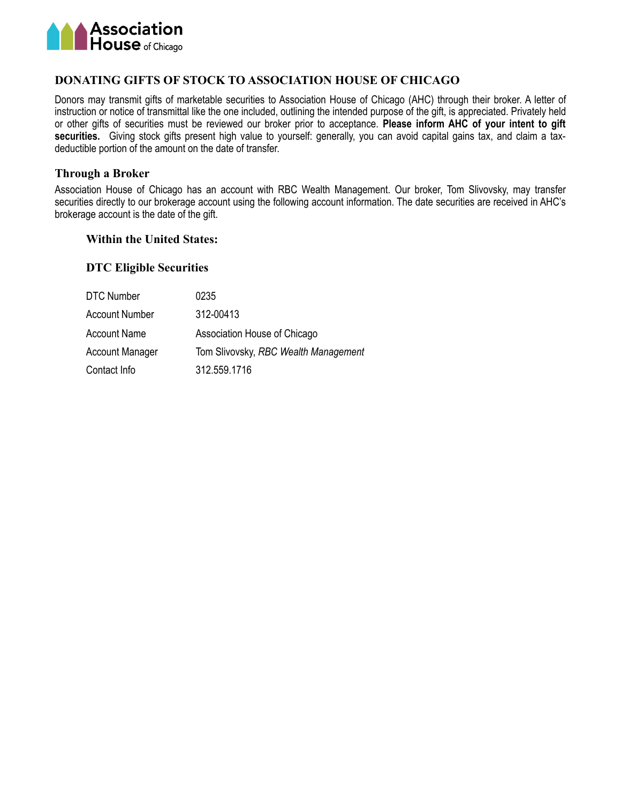

### **DONATING GIFTS OF STOCK TO ASSOCIATION HOUSE OF CHICAGO**

Donors may transmit gifts of marketable securities to Association House of Chicago (AHC) through their broker. A letter of instruction or notice of transmittal like the one included, outlining the intended purpose of the gift, is appreciated. Privately held or other gifts of securities must be reviewed our broker prior to acceptance. **Please inform AHC of your intent to gift securities.** Giving stock gifts present high value to yourself: generally, you can avoid capital gains tax, and claim a taxdeductible portion of the amount on the date of transfer.

#### **Through a Broker**

Association House of Chicago has an account with RBC Wealth Management. Our broker, Tom Slivovsky, may transfer securities directly to our brokerage account using the following account information. The date securities are received in AHC's brokerage account is the date of the gift.

#### **Within the United States:**

#### **DTC Eligible Securities**

| DTC Number             | 0235                                 |
|------------------------|--------------------------------------|
| <b>Account Number</b>  | 312-00413                            |
| <b>Account Name</b>    | Association House of Chicago         |
| <b>Account Manager</b> | Tom Slivovsky, RBC Wealth Management |
| Contact Info           | 312.559.1716                         |